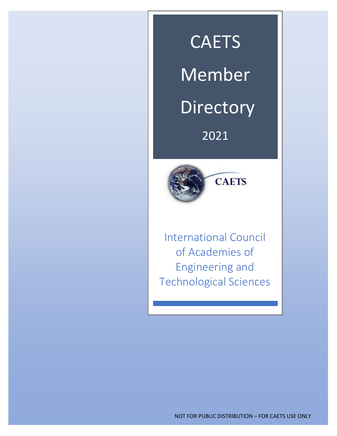# **CAETS**

Member Directory

2021



International Council of Academies of Engineering and Technological Sciences

l

NOT FOR PUBLIC DISTRIBUTION – FOR CAETS USE ONLY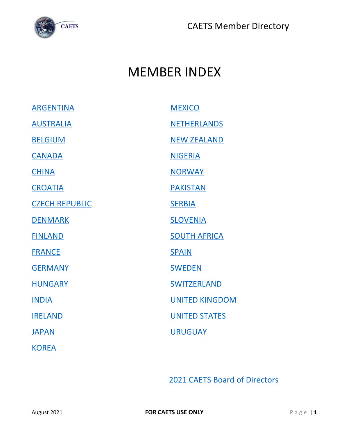

## <span id="page-1-0"></span>MEMBER INDEX

| <b>ARGENTINA</b>      | <b>MEXICO</b>         |
|-----------------------|-----------------------|
| <b>AUSTRALIA</b>      | <b>NETHERLANDS</b>    |
| <b>BELGIUM</b>        | <b>NEW ZEALAND</b>    |
| <b>CANADA</b>         | <b>NIGERIA</b>        |
| <b>CHINA</b>          | <b>NORWAY</b>         |
| <b>CROATIA</b>        | <b>PAKISTAN</b>       |
| <b>CZECH REPUBLIC</b> | <b>SERBIA</b>         |
| <b>DENMARK</b>        | <b>SLOVENIA</b>       |
| <b>FINLAND</b>        | <b>SOUTH AFRICA</b>   |
| <b>FRANCE</b>         | <b>SPAIN</b>          |
| <b>GERMANY</b>        | <b>SWEDEN</b>         |
| <b>HUNGARY</b>        | SWITZERLAND           |
| <b>INDIA</b>          | <b>UNITED KINGDOM</b> |
| <b>IRELAND</b>        | <b>UNITED STATES</b>  |
| <b>JAPAN</b>          | <b>URUGUAY</b>        |
| <b>KOREA</b>          |                       |

[2021 CAETS Board of Directors](#page-33-0)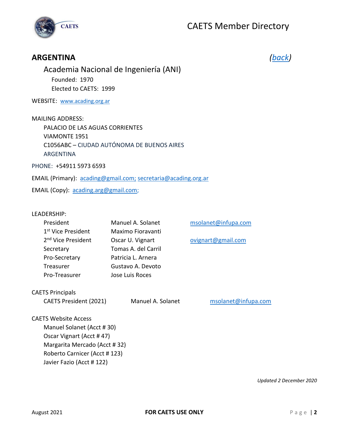



### <span id="page-2-0"></span>**ARGENTINA** *[\(back\)](#page-1-0)*

Academia Nacional de Ingeniería (ANI) Founded: 1970 Elected to CAETS: 1999

WEBSITE: [www.acading.org.ar](http://www.acading.org.ar/)

MAILING ADDRESS: PALACIO DE LAS AGUAS CORRIENTES VIAMONTE 1951 C1056ABC – CIUDAD AUTÓNOMA DE BUENOS AIRES ARGENTINA

PHONE: +54911 5973 6593

EMAIL (Primary): [acading@gmail.com;](mailto:acading@gmail.com) [secretaria@acading.org.ar](mailto:secretaria@acading.org.ar)

EMAIL (Copy): [acading.arg@gmail.com;](mailto:acading.arg@gmail.com)

#### LEADERSHIP:

| President                      | Manuel A. Solanet   |
|--------------------------------|---------------------|
| 1 <sup>st</sup> Vice President | Maximo Fioravanti   |
| 2 <sup>nd</sup> Vice President | Oscar U. Vignart    |
| Secretary                      | Tomas A. del Carril |
| Pro-Secretary                  | Patricia L. Arnera  |
| Treasurer                      | Gustavo A. Devoto   |
| Pro-Treasurer                  | Jose Luis Roces     |

#### CAETS Principals

CAETS President (2021) Manuel A. Solanet [msolanet@infupa.com](mailto:msolanet@infupa.com)

[msolanet@infupa.com](mailto:msolanet@infupa.com)

[ovignart@gmail.com](mailto:ovignart@gmail.com)

CAETS Website Access

Manuel Solanet (Acct # 30) Oscar Vignart (Acct # 47) Margarita Mercado (Acct # 32) Roberto Carnicer (Acct # 123) Javier Fazio (Acct # 122)

*Updated 2 December 2020*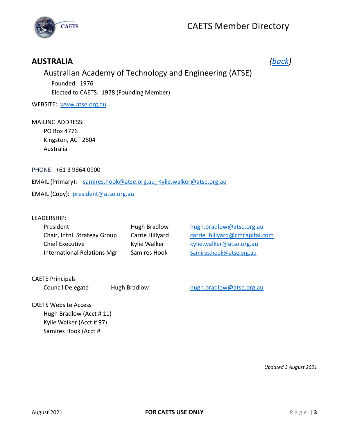

### <span id="page-3-0"></span>**AUSTRALIA** *[\(back\)](#page-1-0)*

### Australian Academy of Technology and Engineering (ATSE) Founded: 1976 Elected to CAETS: 1978 (Founding Member)

WEBSITE: [www.atse.org.au](http://www.atse.org.au/)

#### MAILING ADDRESS:

 PO Box 4776 Kingston, ACT 2604 Australia

PHONE: +61 3 9864 0900

EMAIL (Primary): [samires.hook@atse.org.au;](mailto:samires.hook@atse.org.au) Kylie.walker@atse.org.au

EMAIL (Copy): [president@atse.org.au](mailto:president@atse.org.au)

#### LEADERSHIP:

| <b>Hugh Bradlow</b> | hugh.bradlow@atse.org.au      |
|---------------------|-------------------------------|
| Carrie Hillyard     | carrie hillyard@cmcapital.com |
| Kylie Walker        | kylie.walker@atse.org.au      |
| Samires Hook        | Samires.hook@atse.org.au      |
|                     |                               |

CAETS Principals

Council Delegate Hugh Bradlow [hugh.bradlow@atse.org.au](mailto:hugh.bradlow@atse.org.au)

### CAETS Website Access

Hugh Bradlow (Acct # 11) Kylie Walker (Acct # 97) Samires Hook (Acct #

*Updated 3 August 2021*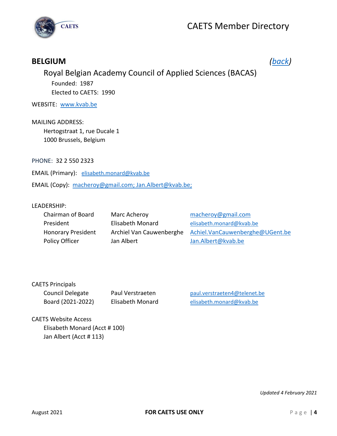

### <span id="page-4-0"></span>**BELGIUM** *[\(back\)](#page-1-0)*

### Royal Belgian Academy Council of Applied Sciences (BACAS) Founded: 1987 Elected to CAETS: 1990

WEBSITE: [www.kvab.be](http://www.kvab.be/)

MAILING ADDRESS: Hertogstraat 1, rue Ducale 1 1000 Brussels, Belgium

PHONE: 32 2 550 2323

EMAIL (Primary): [elisabeth.monard@kvab.be](mailto:elisabeth.monard@kvab.be)

EMAIL (Copy): [macheroy@gmail.com;](mailto:macheroy@gmail.com) Jan.Albert@kvab.be;

#### LEADERSHIP:

| Chairman of Board         | Marc Acheroy             | macheroy@gmail.com              |
|---------------------------|--------------------------|---------------------------------|
| President                 | Elisabeth Monard         | elisabeth.monard@kvab.be        |
| <b>Honorary President</b> | Archiel Van Cauwenberghe | Achiel.VanCauwenberghe@UGent.be |
| Policy Officer            | Jan Albert               | Jan.Albert@kvab.be              |

| <b>CAETS Principals</b> |          |
|-------------------------|----------|
| Council Delegate        | Paul Ver |
| Board (2021-2022)       | Elisabet |

rstraeten **Daul.verstraeten4@telenet.be** th Monard elisabeth monard@kvab.be

CAETS Website Access Elisabeth Monard (Acct # 100) Jan Albert (Acct # 113)

*Updated 4 February 2021*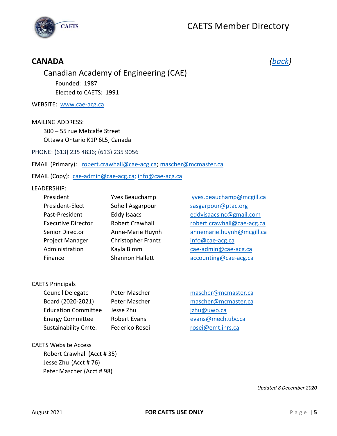



### <span id="page-5-0"></span>**CANADA** *[\(back\)](#page-1-0)*

Canadian Academy of Engineering (CAE) Founded: 1987 Elected to CAETS: 1991

WEBSITE: [www.cae-acg.ca](http://www.cae-acg.ca/)

MAILING ADDRESS:

300 – 55 rue Metcalfe Street Ottawa Ontario K1P 6L5, Canada

PHONE: (613) 235 4836; (613) 235 9056

EMAIL (Primary): [robert.crawhall@cae-acg.ca;](mailto:robert.crawhall@cae-acg.ca) mascher@mcmaster.ca

EMAIL (Copy): [cae-admin@cae-acg.ca;](mailto:cae-admin@cae-acg.ca) [info@cae-acg.ca](mailto:info@cae-acg.ca)

#### LEADERSHIP:

| President                 | Yves Beauchamp         | yves.beauchamp@mcgill.ca   |
|---------------------------|------------------------|----------------------------|
| President-Elect           | Soheil Asgarpour       | sasgarpour@ptac.org        |
| Past-President            | <b>Eddy Isaacs</b>     | eddyisaacsinc@gmail.com    |
| <b>Executive Director</b> | <b>Robert Crawhall</b> | robert.crawhall@cae-acg.ca |
| Senior Director           | Anne-Marie Huynh       | annemarie.huynh@mcgill.ca  |
| Project Manager           | Christopher Frantz     | info@cae-acg.ca            |
| Administration            | Kayla Bimm             | cae-admin@cae-acg.ca       |
| Finance                   | <b>Shannon Hallett</b> | accounting@cae-acg.ca      |

CAETS Principals

| <b>Council Delegate</b>    | Pete |
|----------------------------|------|
| Board (2020-2021)          | Pete |
| <b>Education Committee</b> | Jess |
| <b>Energy Committee</b>    | Rob  |
| Sustainability Cmte.       | Fed  |

er Mascher **Mascher** [mascher@mcmaster.ca](mailto:mascher@mcmaster.ca) er Mascher **Commascher** [mascher@mcmaster.ca](mailto:mascher@mcmaster.ca) e Zhu dia katio Committee Jesus Committee Jesus Committee Jesus Committee Jesus Committee Jesus Committee Jesus ert Evans **Europe Committee Robert Evans evans @mech.ubc.ca** erico Rosei **Camerico Rosei contra [rosei@emt.inrs.ca](mailto:rosei@emt.inrs.ca)** 

CAETS Website Access Robert Crawhall (Acct # 35) Jesse Zhu (Acct # 76) Peter Mascher (Acct # 98)

*Updated 8 December 2020*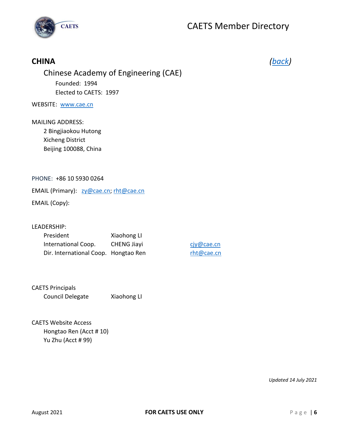

### <span id="page-6-0"></span>**CHINA** *[\(back\)](#page-1-0)*

### Chinese Academy of Engineering (CAE) Founded: 1994 Elected to CAETS: 1997

#### WEBSITE: [www.cae.cn](http://www.cae.cn/)

### MAILING ADDRESS: 2 Bingjiaokou Hutong

Xicheng District Beijing 100088, China

#### PHONE: +86 10 5930 0264

EMAIL (Primary): [zy@cae.cn;](mailto:zy@cae.cn) [rht@cae.cn](mailto:rht@cae.cn)

EMAIL (Copy):

#### LEADERSHIP:

| President                            | Xiaohong LI        |
|--------------------------------------|--------------------|
| International Coop.                  | <b>CHENG Jiavi</b> |
| Dir. International Coop. Hongtao Ren |                    |

[cjy@cae.cn](mailto:cjy@cae.cn) [rht@cae.cn](mailto:rht@cae.cn)

### CAETS Principals Council Delegate Xiaohong LI

CAETS Website Access Hongtao Ren (Acct # 10) Yu Zhu (Acct # 99)

*Updated 14 July 2021*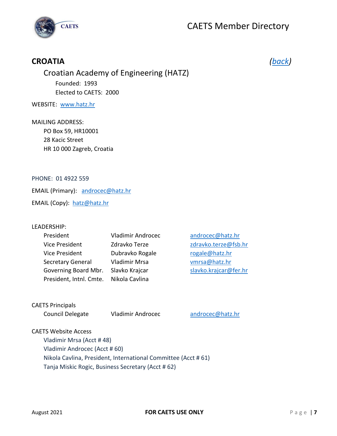



### <span id="page-7-0"></span>**CROATIA** *[\(back\)](#page-1-0)*

### Croatian Academy of Engineering (HATZ) Founded: 1993 Elected to CAETS: 2000

#### WEBSITE: [www.hatz.hr](http://www.hatz.hr/)

### MAILING ADDRESS: PO Box 59, HR10001

28 Kacic Street HR 10 000 Zagreb, Croatia

#### PHONE: 01 4922 559

EMAIL (Primary): [androcec@hatz.hr](mailto:androcec@hatz.hr)

EMAIL (Copy): [hatz@hatz.hr](mailto:hatz@hatz.hr)

#### LEADERSHIP:

| President                | Vladimir Androce |
|--------------------------|------------------|
| <b>Vice President</b>    | Zdravko Terze    |
| <b>Vice President</b>    | Dubravko Rogale  |
| <b>Secretary General</b> | Vladimir Mrsa    |
| Governing Board Mbr.     | Slavko Krajcar   |
| President, Intnl. Cmte.  | Nikola Cavlina   |

President Viladimir Androcec@hatz.hr [zdravko.terze@fsb.hr](mailto:zdravko.terze@fsb.hr) [rogale@hatz.hr](mailto:rogale@hatz.hr) [vmrsa@hatz.hr](mailto:vmrsa@hatz.hr) [slavko.krajcar@fer.hr](mailto:slavko.krajcar@fer.hr)

#### CAETS Principals

Council Delegate Vladimir Androcec [androcec@hatz.hr](mailto:androcec@hatz.hr)

#### CAETS Website Access

Vladimir Mrsa (Acct # 48) Vladimir Androcec (Acct # 60) Nikola Cavlina, President, International Committee (Acct # 61) Tanja Miskic Rogic, Business Secretary (Acct # 62)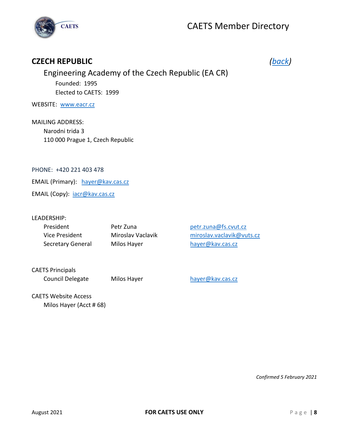

### <span id="page-8-0"></span>**CZECH REPUBLIC** *[\(back\)](#page-1-0)*

### Engineering Academy of the Czech Republic (EA CR) Founded: 1995 Elected to CAETS: 1999

WEBSITE: [www.eacr.cz](http://www.eacr.cz/)

MAILING ADDRESS: Narodni trida 3 110 000 Prague 1, Czech Republic

PHONE: +420 221 403 478

EMAIL (Primary): [hayer@kav.cas.cz](mailto:hayer@kav.cas.cz)

EMAIL (Copy): [iacr@kav.cas.cz](mailto:iacr@kav.cas.cz)

#### LEADERSHIP:

| President         | Petr Zuna         | petr.zuna@fs.cvut.cz      |
|-------------------|-------------------|---------------------------|
| Vice President    | Miroslav Vaclavik | miroslav.vaclavik@vuts.cz |
| Secretary General | Milos Hayer       | hayer@kav.cas.cz          |

CAETS Principals Council Delegate Milos Hayer hayer [hayer@kav.cas.cz](mailto:hayer@kav.cas.cz)

CAETS Website Access Milos Hayer (Acct # 68)

*Confirmed 5 February 2021*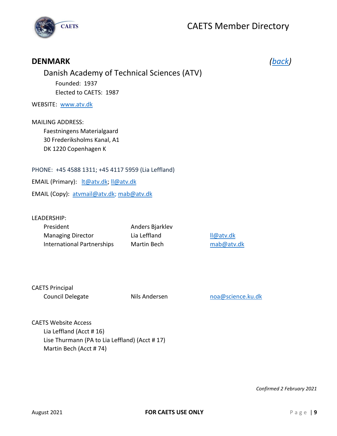

<span id="page-9-0"></span>

| <b>DENMARK</b><br>Danish Academy of Technical Sciences (ATV)<br>Founded: 1937<br>Elected to CAETS: 1987      |  |
|--------------------------------------------------------------------------------------------------------------|--|
| WEBSITE: www.atv.dk                                                                                          |  |
| <b>MAILING ADDRESS:</b><br>Faestningens Materialgaard<br>30 Frederiksholms Kanal, A1<br>DK 1220 Copenhagen K |  |
| PHONE: +45 4588 1311; +45 4117 5959 (Lia Leffland)                                                           |  |
| EMAIL (Primary): It@atv.dk; Il@atv.dk                                                                        |  |
| EMAIL (Copy): atvmail@atv.dk; mab@atv.dk                                                                     |  |
|                                                                                                              |  |

LEADERSHIP:

| President                  | Anders Bjarklev |
|----------------------------|-----------------|
| <b>Managing Director</b>   | Lia Leffland    |
| International Partnerships | Martin Bech     |

[ll@atv.dk](mailto:ll@atv.dk) [mab@atv.dk](mailto:mab@atv.dk)

| <b>CAETS Principal</b> |  |
|------------------------|--|
| Council Delegate       |  |

Nils Andersen [noa@science.ku.dk](mailto:noa@science.ku.dk)

CAETS Website Access Lia Leffland (Acct # 16) Lise Thurmann (PA to Lia Leffland) (Acct # 17) Martin Bech (Acct # 74)

*Confirmed 2 February 2021*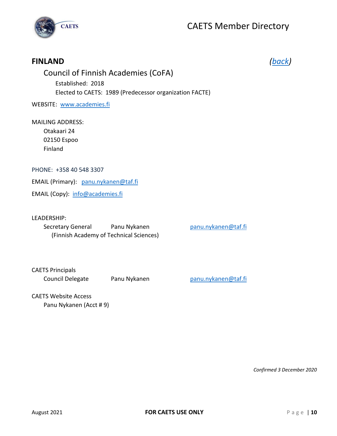

### <span id="page-10-0"></span>**FINLAND** *[\(back\)](#page-1-0)*

### Council of Finnish Academies (CoFA) Established: 2018 Elected to CAETS: 1989 (Predecessor organization FACTE)

WEBSITE: [www.academies.fi](http://www.academies.fi/)

#### MAILING ADDRESS:

Otakaari 24 02150 Espoo Finland

#### PHONE: +358 40 548 3307

EMAIL (Primary): [panu.nykanen@taf.fi](mailto:panu.nykanen@taf.fi)

EMAIL (Copy): [info@academies.fi](mailto:info@academies.fi)

#### LEADERSHIP:

Secretary General Panu Nykanen Panu Panu nykanen panu.nykanen @taf.fi (Finnish Academy of Technical Sciences)

### CAETS Principals Council Delegate Panu Nykanen Panu Pranu nykanen panu.nykanen @taf.fi

### CAETS Website Access Panu Nykanen (Acct # 9)

*Confirmed 3 December 2020*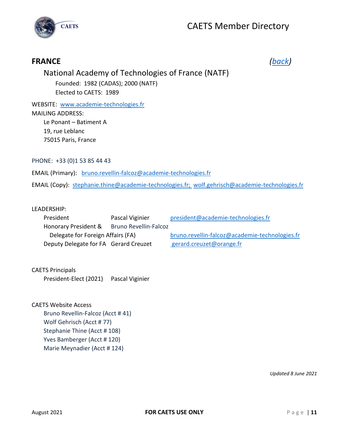



### <span id="page-11-0"></span>**FRANCE** *[\(back\)](#page-1-0)*

### National Academy of Technologies of France (NATF)

Founded: 1982 (CADAS); 2000 (NATF) Elected to CAETS: 1989

WEBSITE: [www.academie-technologies.fr](http://www.academie-technologies.fr/) MAILING ADDRESS: Le Ponant – Batiment A 19, rue Leblanc 75015 Paris, France

PHONE: +33 (0)1 53 85 44 43

EMAIL (Primary): [bruno.revellin-falcoz@academie-technologies.fr](mailto:bruno.revellin-falcoz@academie-technologies.fr)

EMAIL (Copy): [stephanie.thine@academie-technologies.fr;](mailto:stephanie.thine@academie-technologies.fr) [wolf.gehrisch@academie-technologies.fr](mailto:wolf.gehrisch@academie-technologies.fr)

#### LEADERSHIP:

| President                             | Pascal Viginier              | president@academie-technologies.fr             |
|---------------------------------------|------------------------------|------------------------------------------------|
| Honorary President &                  | <b>Bruno Revellin-Falcoz</b> |                                                |
| Delegate for Foreign Affairs (FA)     |                              | bruno.revellin-falcoz@academie-technologies.fr |
| Deputy Delegate for FA Gerard Creuzet |                              | gerard.creuzet@orange.fr                       |

#### CAETS Principals

President-Elect (2021) Pascal Viginier

### CAETS Website Access

Bruno Revellin-Falcoz (Acct # 41) Wolf Gehrisch (Acct # 77) Stephanie Thine (Acct # 108) Yves Bamberger (Acct # 120) Marie Meynadier (Acct # 124)

*Updated 8 June 2021*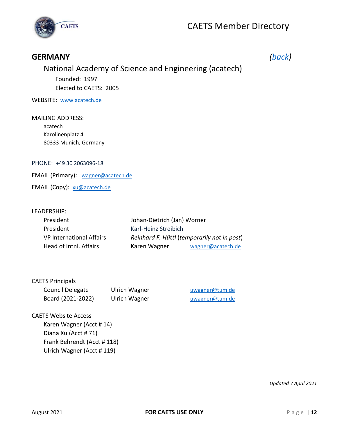

### <span id="page-12-0"></span>**GERMANY** *[\(back\)](#page-1-0)*

### National Academy of Science and Engineering (acatech)

Founded: 1997 Elected to CAETS: 2005

WEBSITE: [www.acatech.de](http://www.acatech.de/)

MAILING ADDRESS: acatech Karolinenplatz 4 80333 Munich, Germany

PHONE: +49 30 2063096-18

EMAIL (Primary): [wagner@acatech.de](mailto:wagner@acatech.de)

EMAIL (Copy): [xu@acatech.de](mailto:xu@acatech.de)

#### LEADERSHIP:

| President                |              | Johan-Dietrich (Jan) Worner                 |  |
|--------------------------|--------------|---------------------------------------------|--|
| President                |              | Karl-Heinz Streibich                        |  |
| VP International Affairs |              | Reinhard F. Hüttl (temporarily not in post) |  |
| Head of Intnl. Affairs   | Karen Wagner | wagner@acatech.de                           |  |

|  | <b>CAETS Principals</b> |  |
|--|-------------------------|--|
|--|-------------------------|--|

| Council Delegate  | Ulrich Wagner        |
|-------------------|----------------------|
| Board (2021-2022) | <b>Ulrich Wagner</b> |

Council Delegate Ulrich Wagner @tum.de [uwagner@tum.de](mailto:uwagner@tum.de)

### CAETS Website Access

Karen Wagner (Acct # 14) Diana Xu (Acct # 71) Frank Behrendt (Acct # 118) Ulrich Wagner (Acct # 119)

*Updated 7 April 2021*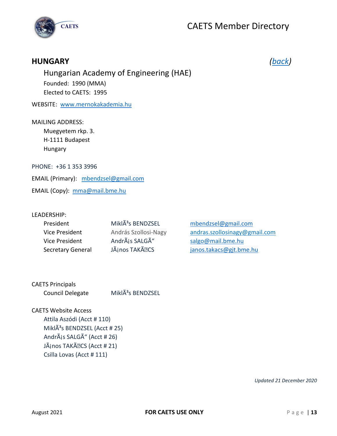



### <span id="page-13-0"></span>**HUNGARY** *[\(back\)](#page-1-0)*

Hungarian Academy of Engineering (HAE) Founded: 1990 (MMA) Elected to CAETS: 1995

WEBSITE: [www.mernokakademia.hu](http://www.mernokakademia.hu/)

#### MAILING ADDRESS:

Muegyetem rkp. 3. H-1111 Budapest Hungary

PHONE: +36 1 353 3996

EMAIL (Primary): [mbendzsel@gmail.com](mailto:mbendzsel@gmail.com)

EMAIL (Copy): [mma@mail.bme.hu](mailto:mma@mail.bme.hu)

#### LEADERSHIP:

| President                | Mikl $\tilde{A}^3$ s BENDZSEL |
|--------------------------|-------------------------------|
| Vice President           | András Szollosi-Nagy          |
| Vice President           | AndrÃis SALGÃ"                |
| <b>Secretary General</b> | JÃjnos TAKÃ <sup>•</sup> CS   |

[mbendzsel@gmail.com](mailto:mbendzsel@gmail.com) [andras.szollosinagy@gmail.com](mailto:andras.szollosinagy@gmail.com) [salgo@mail.bme.hu](mailto:salgo@mail.bme.hu) [janos.takacs@gjt.bme.hu](mailto:janos.takacs@gjt.bme.hu)

### CAETS Principals Council Delegate MiklÃ<sup>3</sup>s BENDZSEL

CAETS Website Access Attila Aszódi (Acct # 110) Mikl $\tilde{A}^3$ s BENDZSEL (Acct # 25) AndrÃis SALGÃ" (Acct # 26) JÃjnos TAKÃ<sup>•</sup> CS (Acct # 21) Csilla Lovas (Acct # 111)

*Updated 21 December 2020*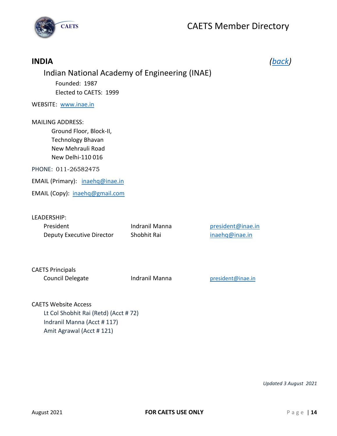

<span id="page-14-0"></span>

| <b>INDIA</b><br>Indian National Academy of Engineering (INAE)<br>Founded: 1987<br>Elected to CAETS: 1999                 |                                      |                                     |  |
|--------------------------------------------------------------------------------------------------------------------------|--------------------------------------|-------------------------------------|--|
| WEBSITE: www.inae.in                                                                                                     |                                      |                                     |  |
| <b>MAILING ADDRESS:</b><br>Ground Floor, Block-II,<br><b>Technology Bhavan</b><br>New Mehrauli Road<br>New Delhi-110 016 |                                      |                                     |  |
| PHONE: 011-26582475                                                                                                      |                                      |                                     |  |
| EMAIL (Primary): inaehq@inae.in                                                                                          |                                      |                                     |  |
| EMAIL (Copy): inaehq@gmail.com                                                                                           |                                      |                                     |  |
| LEADERSHIP:<br>President<br>Deputy Executive Director                                                                    | <b>Indranil Manna</b><br>Shobhit Rai | president@inae.in<br>inaehq@inae.in |  |

| <b>CAETS Principals</b> |  |
|-------------------------|--|
| Council Delegate        |  |

Indranil Manna **[president@inae.in](mailto:president@inae.in)** 

CAETS Website Access Lt Col Shobhit Rai (Retd) (Acct # 72) Indranil Manna (Acct # 117) Amit Agrawal (Acct # 121)

*Updated 3 August 2021*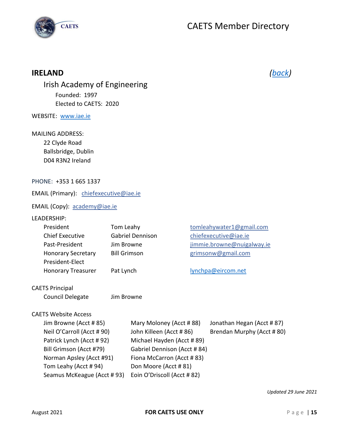

### <span id="page-15-0"></span>**IRELAND** *[\(back\)](#page-1-0)*

| Irish Academy of Engineering |
|------------------------------|
| Founded: 1997                |
| Elected to CAETS: 2020       |

### WEBSITE: [www.iae.ie](http://www.iae.ie/)

#### MAILING ADDRESS:

22 Clyde Road Ballsbridge, Dublin D04 R3N2 Ireland

#### PHONE: +353 1 665 1337

EMAIL (Primary): [chiefexecutive@iae.ie](mailto:chiefexecutive@iae.ie)

EMAIL (Copy): [academy@iae.ie](mailto:academy@iae.ie)

#### LEADERSHIP:

| President                   | Tom Leahy           |                              | tomleahywater1@gmail.com   |
|-----------------------------|---------------------|------------------------------|----------------------------|
| <b>Chief Executive</b>      |                     | <b>Gabriel Dennison</b>      | chiefexecutive@iae.ie      |
| Past-President              | Jim Browne          |                              | jimmie.browne@nuigalway.ie |
| <b>Honorary Secretary</b>   | <b>Bill Grimson</b> |                              | grimsonw@gmail.com         |
| President-Elect             |                     |                              |                            |
| <b>Honorary Treasurer</b>   | Pat Lynch           |                              | lynchpa@eircom.net         |
|                             |                     |                              |                            |
| <b>CAETS Principal</b>      |                     |                              |                            |
| Council Delegate            | Jim Browne          |                              |                            |
|                             |                     |                              |                            |
| <b>CAETS Website Access</b> |                     |                              |                            |
| Jim Browne (Acct # 85)      |                     | Mary Moloney (Acct #88)      | Jonathan Hegan (Acct #87)  |
| Neil O'Carroll (Acct # 90)  |                     | John Killeen (Acct # 86)     | Brendan Murphy (Acct #80)  |
| Patrick Lynch (Acct #92)    |                     | Michael Hayden (Acct #89)    |                            |
| Bill Grimson (Acct #79)     |                     | Gabriel Dennison (Acct # 84) |                            |
| Norman Apsley (Acct #91)    |                     | Fiona McCarron (Acct #83)    |                            |
| Tom Leahy (Acct #94)        |                     | Don Moore (Acct # 81)        |                            |
| Seamus McKeague (Acct # 93) |                     | Eoin O'Driscoll (Acct #82)   |                            |
|                             |                     |                              |                            |

*Updated 29 June 2021*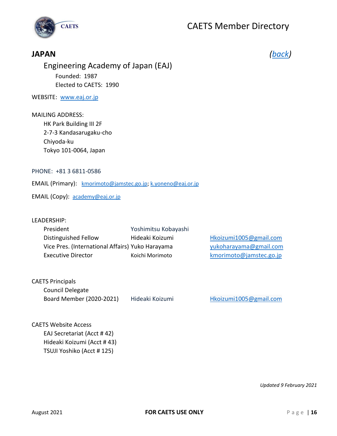

### <span id="page-16-0"></span>**JAPAN** *[\(back\)](#page-1-0)*

Engineering Academy of Japan (EAJ) Founded: 1987 Elected to CAETS: 1990

WEBSITE: [www.eaj.or.jp](http://www.eaj.or.jp/)

#### MAILING ADDRESS:

HK Park Building III 2F 2-7-3 Kandasarugaku-cho Chiyoda-ku Tokyo 101-0064, Japan

PHONE: +81 3 6811-0586

EMAIL (Primary): [kmorimoto@jamstec.go.jp;](mailto:kmorimoto@jamstec.go.jp) [k.yoneno@eaj.or.jp](mailto:k.yoneno@eaj.or.jp)

EMAIL (Copy): [academy@eaj.or.jp](mailto:academy@eaj.or.jp)

#### LEADERSHIP:

| President                                        | Yoshimitsu Kobayashi |                         |
|--------------------------------------------------|----------------------|-------------------------|
| Distinguished Fellow                             | Hideaki Koizumi      | Hkoizumi1005@gmail.com  |
| Vice Pres. (International Affairs) Yuko Harayama |                      | yukoharayama@gmail.com  |
| <b>Executive Director</b>                        | Koichi Morimoto      | kmorimoto@jamstec.go.jp |

CAETS Principals Council Delegate Board Member (2020-2021) Hideaki Koizumi [Hkoizumi1005@gmail.com](mailto:Hkoizumi1005@gmail.com)

CAETS Website Access EAJ Secretariat (Acct # 42) Hideaki Koizumi (Acct # 43) TSUJI Yoshiko (Acct # 125)

*Updated 9 February 2021*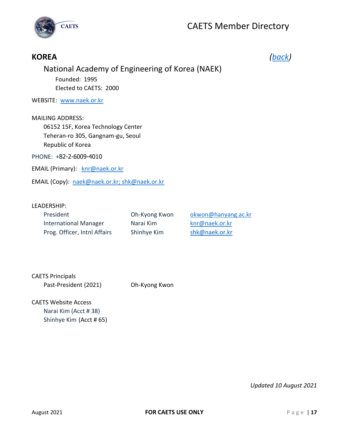

### <span id="page-17-0"></span>**KOREA** *[\(back\)](#page-1-0)*

### National Academy of Engineering of Korea (NAEK)

Founded: 1995 Elected to CAETS: 2000

WEBSITE: [www.naek.or.kr](http://www.naek.or.kr/)

#### MAILING ADDRESS:

06152 15F, Korea Technology Center Teheran-ro 305, Gangnam-gu, Seoul Republic of Korea

PHONE: +82-2-6009-4010

EMAIL (Primary): [knr@naek.or.kr](mailto:knr@naek.or.kr)

EMAIL (Copy): [naek@naek.or.kr;](mailto:naek@naek.or.kr) shk@naek.or.kr

#### LEADERSHIP:

| President                    | Oh-Kyong Kwon | okwon@hanyang.ac.kr |
|------------------------------|---------------|---------------------|
| <b>International Manager</b> | Narai Kim     | knr@naek.or.kr      |
| Prog. Officer, Intnl Affairs | Shinhye Kim   | shk@naek.or.kr      |

CAETS Principals Past-President (2021) Oh-Kyong Kwon

CAETS Website Access Narai Kim (Acct # 38) Shinhye Kim (Acct # 65)

*Updated 10 August 2021*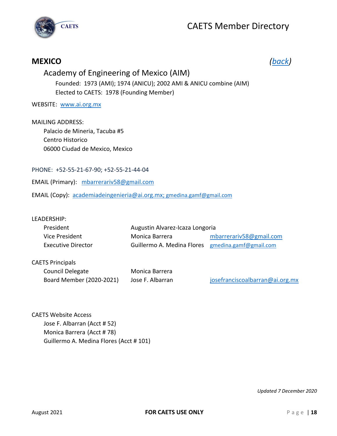



### <span id="page-18-0"></span>**MEXICO** *[\(back\)](#page-1-0)*

### Academy of Engineering of Mexico (AIM)

Founded: 1973 (AMI); 1974 (ANICU); 2002 AMI & ANICU combine (AIM) Elected to CAETS: 1978 (Founding Member)

WEBSITE: [www.ai.org.mx](http://www.ai.org.mx/)

MAILING ADDRESS: Palacio de Mineria, Tacuba #5 Centro Historico 06000 Ciudad de Mexico, Mexico

PHONE: +52-55-21-67-90; +52-55-21-44-04

EMAIL (Primary): mbarrerariv58@gmail.com

EMAIL (Copy): [academiadeingenieria@ai.org.mx;](mailto:academiadeingenieria@ai.org.mx) [gmedina.gamf@gmail.com](mailto:gmedina.gamf@gmail.com)

#### LEADERSHIP:

| President                 | Augustin Alvarez-Icaza Longoria                   |                         |
|---------------------------|---------------------------------------------------|-------------------------|
| Vice President            | Monica Barrera                                    | mbarrerariv58@gmail.com |
| <b>Executive Director</b> | Guillermo A. Medina Flores gmedina.gamf@gmail.com |                         |

#### CAETS Principals

Council Delegate Monica Barrera Board Member (2020-2021) Jose F. Albarran [josefranciscoalbarran@ai.org.mx](mailto:josefranciscoalbarran@ai.org.mx)

CAETS Website Access Jose F. Albarran (Acct # 52) Monica Barrera (Acct # 78) Guillermo A. Medina Flores (Acct # 101)

*Updated 7 December 2020*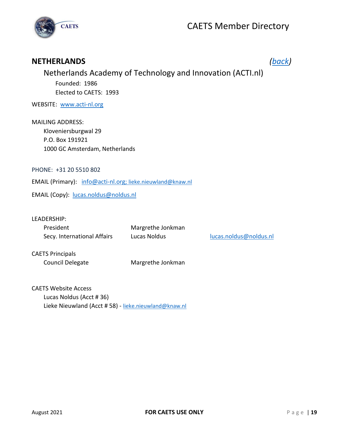

### <span id="page-19-0"></span>**NETHERLANDS** *[\(back\)](#page-1-0)*

### Netherlands Academy of Technology and Innovation (ACTI.nl) Founded: 1986 Elected to CAETS: 1993

WEBSITE: [www.acti-nl.org](http://www.acti-nl.org/)

MAILING ADDRESS: Kloveniersburgwal 29 P.O. Box 191921 1000 GC Amsterdam, Netherlands

PHONE: +31 20 5510 802

EMAIL (Primary): [info@acti-nl.org;](mailto:info@acti-nl.org) [lieke.nieuwland@knaw.nl](mailto:lieke.nieuwland@knaw.nl)

EMAIL (Copy): [lucas.noldus@noldus.nl](mailto:lucas.noldus@noldus.nl)

| President                   | Margrethe Jonkman |                        |
|-----------------------------|-------------------|------------------------|
| Secy. International Affairs | Lucas Noldus      | lucas.noldus@noldus.nl |

CAETS Principals

Council Delegate Margrethe Jonkman

CAETS Website Access Lucas Noldus (Acct # 36) Lieke Nieuwland (Acct # 58) - [lieke.nieuwland@knaw.nl](mailto:lieke.nieuwland@knaw.nl)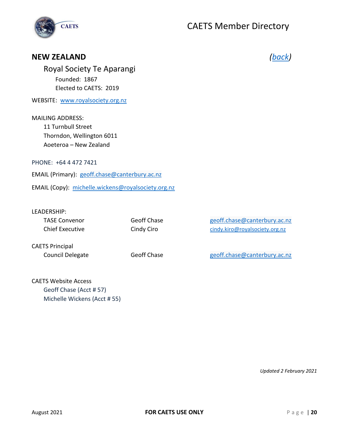

### <span id="page-20-0"></span>**NEW ZEALAND** *[\(back\)](#page-1-0)*

Royal Society Te Aparangi Founded: 1867 Elected to CAETS: 2019

WEBSITE: [www.royalsociety.org.nz](http://www.royalsociety.org.nz/)

MAILING ADDRESS: 11 Turnbull Street Thorndon, Wellington 6011 Aoeteroa – New Zealand

PHONE: +64 4 472 7421

EMAIL (Primary): [geoff.chase@canterbury.ac.nz](mailto:geoff.chase@canterbury.ac.nz)

EMAIL (Copy): [michelle.wickens@royalsociety.org.nz](mailto:michelle.wickens@royalsociety.org.nz)

#### LEADERSHIP:

| TASE Convenor   | Geoff Chase | geoff.chase@canterbury.ac.nz   |
|-----------------|-------------|--------------------------------|
| Chief Executive | Cindy Ciro  | cindy.kiro@royalsociety.org.nz |

CAETS Principal

Council Delegate Geoff Chase Geoff Chase [geoff.chase@canterbury.ac.nz](mailto:geoff.chase@canterbury.ac.nz)

CAETS Website Access Geoff Chase (Acct # 57) Michelle Wickens (Acct # 55)

*Updated 2 February 2021*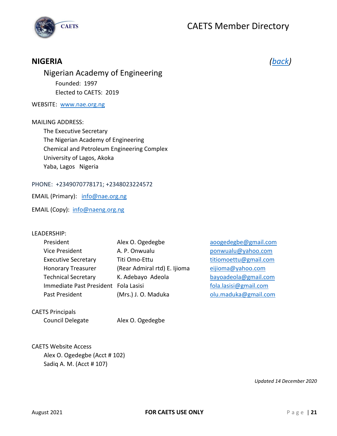



### <span id="page-21-0"></span>**NIGERIA** *[\(back\)](#page-1-0)*

Nigerian Academy of Engineering Founded: 1997 Elected to CAETS: 2019

#### WEBSITE: [www.nae.org.ng](http://www.nae.org.ng/)

#### MAILING ADDRESS:

The Executive Secretary The Nigerian Academy of Engineering Chemical and Petroleum Engineering Complex University of Lagos, Akoka Yaba, Lagos Nigeria

PHONE: +2349070778171; +2348023224572

EMAIL (Primary): [info@nae.org.ng](mailto:info@nae.org.ng)

EMAIL (Copy): [info@naeng.org.ng](mailto:info@naeng.org.ng)

#### LEADERSHIP:

[aoogedegbe@gmail.com](mailto:aoogedegbe@gmail.com) [ponwualu@yahoo.com](mailto:ponwualu@yahoo.com) [titiomoettu@gmail.com](mailto:titiomoettu@gmail.com) [eijioma@yahoo.com](mailto:eijioma@yahoo.com) [bayoadeola@gmail.com](mailto:bayoadeola@gmail.com) [fola.lasisi@gmail.com](mailto:fola.lasisi@gmail.com) [olu.maduka@gmail.com](mailto:olu.maduka@gmail.com)

CAETS Principals

Council Delegate Alex O. Ogedegbe

CAETS Website Access Alex O. Ogedegbe (Acct # 102) Sadiq A. M. (Acct # 107)

*Updated 14 December 2020*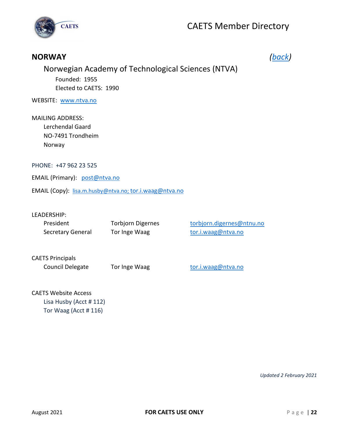

### <span id="page-22-0"></span>**NORWAY** *[\(back\)](#page-1-0)*

Norwegian Academy of Technological Sciences (NTVA) Founded: 1955 Elected to CAETS: 1990

WEBSITE: [www.ntva.no](http://www.ntva.no/)

MAILING ADDRESS: Lerchendal Gaard NO-7491 Trondheim Norway

PHONE: +47 962 23 525

EMAIL (Primary): [post@ntva.no](mailto:post@ntva.no)

EMAIL (Copy): [lisa.m.husby@ntva.no;](mailto:lisa.m.husby@ntva.no) [tor.i.waag@ntva.no](mailto:tor.i.waag@ntva.no)

#### LEADERSHIP:

| President         | Torbjorn Digernes | torbjorn.digernes@ntnu.no |
|-------------------|-------------------|---------------------------|
| Secretary General | Tor Inge Waag     | tor.i.waag@ntva.no        |

CAETS Principals

Council Delegate Tor Inge Waag [tor.i.waag@ntva.no](mailto:tor.i.waag@ntva.no)

#### CAETS Website Access

Lisa Husby (Acct # 112) Tor Waag (Acct # 116)

*Updated 2 February 2021*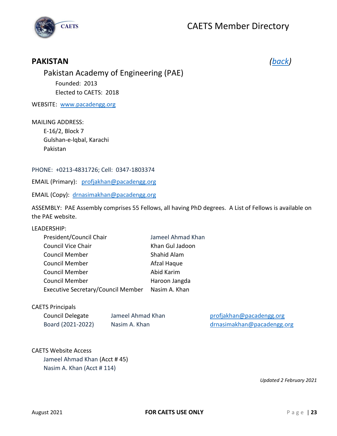



### <span id="page-23-0"></span>**PAKISTAN** *[\(back\)](#page-1-0)*

Pakistan Academy of Engineering (PAE) Founded: 2013 Elected to CAETS: 2018

WEBSITE: [www.pacadengg.org](http://www.pacadengg.org/)

#### MAILING ADDRESS:

E-16/2, Block 7 Gulshan-e-lqbal, Karachi Pakistan

#### PHONE: +0213-4831726; Cell: 0347-1803374

EMAIL (Primary): [profjakhan@pacadengg.org](mailto:profjakhan@pacadengg.org)

EMAIL (Copy): [drnasimakhan@pacadengg.org](mailto:drnasimakhan@pacadengg.org)

ASSEMBLY: PAE Assembly comprises 55 Fellows, all having PhD degrees. A List of Fellows is available on the PAE website.

#### LEADERSHIP:

| President/Council Chair                   | Jameel Ahmad Khan |
|-------------------------------------------|-------------------|
| <b>Council Vice Chair</b>                 | Khan Gul Jadoon   |
| <b>Council Member</b>                     | Shahid Alam       |
| <b>Council Member</b>                     | Afzal Haque       |
| <b>Council Member</b>                     | Abid Karim        |
| <b>Council Member</b>                     | Haroon Jangda     |
| <b>Executive Secretary/Council Member</b> | Nasim A. Khan     |
|                                           |                   |

#### CAETS Principals

| Council Delegate  |  |
|-------------------|--|
| Board (2021-2022) |  |

Jameel Ahmad Khan [profjakhan@pacadengg.org](mailto:profjakhan@pacadengg.org) Nasim A. Khan [drnasimakhan@pacadengg.org](mailto:drnasimakhan@pacadengg.org)

#### CAETS Website Access

Jameel Ahmad Khan (Acct # 45) Nasim A. Khan (Acct # 114)

*Updated 2 February 2021*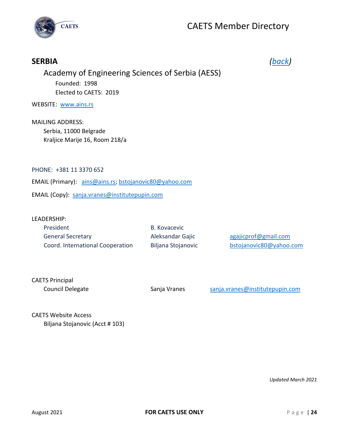

## Academy of Engineering Sciences of Serbia (AESS) Founded: 1998 Elected to CAETS: 2019 WEBSITE: [www.ains.rs](http://www.ains.rs/) MAILING ADDRESS: Serbia, 11000 Belgrade Kraljice Marije 16, Room 218/a PHONE: +381 11 3370 652 EMAIL (Primary): [ains@ains.rs;](mailto:ains@ains.rs) [bstojanovic80@yahoo.com](mailto:bstojanovic80@yahoo.com)

<span id="page-24-0"></span>**SERBIA** *[\(back\)](#page-1-0)*

EMAIL (Copy): [sanja.vranes@institutepupin.com](mailto:sanja.vranes@institutepupin.com)

#### LEADERSHIP:

| President                        | B. Kovacevic       |                         |
|----------------------------------|--------------------|-------------------------|
| <b>General Secretary</b>         | Aleksandar Gajic   | agajicprof@gmail.com    |
| Coord. International Cooperation | Biljana Stojanovic | bstojanovic80@yahoo.com |

CAETS Principal

Council Delegate Sanja Vranes [sanja.vranes@institutepupin.com](mailto:sanja.vranes@institutepupin.com)

CAETS Website Access Biljana Stojanovic (Acct # 103)

*Updated March 2021*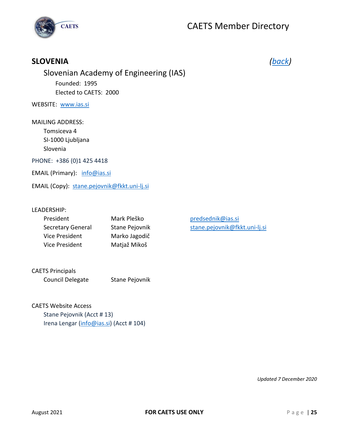

### <span id="page-25-0"></span>**SLOVENIA** *[\(back\)](#page-1-0)*

### Slovenian Academy of Engineering (IAS) Founded: 1995 Elected to CAETS: 2000

WEBSITE: [www.ias.si](http://www.ias.si/)

MAILING ADDRESS: Tomsiceva 4 SI-1000 Ljubljana Slovenia PHONE: +386 (0)1 425 4418

EMAIL (Primary): [info@ias.si](mailto:info@ias.si)

EMAIL (Copy): [stane.pejovnik@fkkt.uni-lj.si](mailto:stane.pejovnik@fkkt.uni-lj.si)

#### LEADERSHIP:

| President                | Mark Pleško           |
|--------------------------|-----------------------|
| <b>Secretary General</b> | <b>Stane Pejovnik</b> |
| <b>Vice President</b>    | Marko Jagodič         |
| Vice President           | Matjaž Mikoš          |

[predsednik@ias.si](mailto:predsednik@ias.si) [stane.pejovnik@fkkt.uni-lj.si](mailto:stane.pejovnik@fkkt.uni-lj.si)

CAETS Principals Council Delegate Stane Pejovnik

CAETS Website Access Stane Pejovnik (Acct # 13) Irena Lengar [\(info@ias.si\)](mailto:info@ias.si) (Acct # 104)

*Updated 7 December 2020*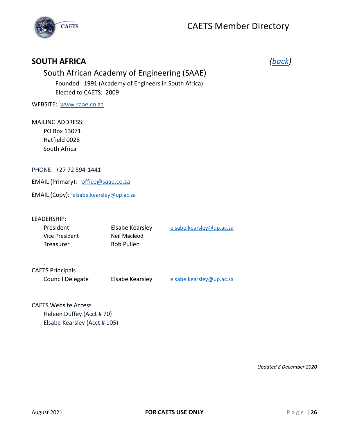

### <span id="page-26-0"></span>**SOUTH AFRICA** *[\(back\)](#page-1-0)*

### South African Academy of Engineering (SAAE) Founded: 1991 (Academy of Engineers in South Africa) Elected to CAETS: 2009

WEBSITE: [www.saae.co.za](http://www.saae.co.za/)

#### MAILING ADDRESS:

PO Box 13071 Hatfield 0028 South Africa

#### PHONE: +27 72 594-1441

EMAIL (Primary): [office@saae.co.za](mailto:office@saae.co.za)

EMAIL (Copy): [elsabe.kearsley@up.ac.za](mailto:elsabe.kearsley@up.ac.za)

#### LEADERSHIP:

| President      | Elsabe Kearsley   | elsabe.kearsley@up.ac.za |
|----------------|-------------------|--------------------------|
| Vice President | Neil Macleod      |                          |
| Treasurer      | <b>Bob Pullen</b> |                          |

### CAETS Principals

Council Delegate Elsabe Kearsley [elsabe.kearsley@up.ac.za](mailto:elsabe.kearsley@up.ac.za)

### CAETS Website Access Heleen Duffey (Acct # 70) Elsabe Kearsley (Acct # 105)

*Updated 8 December 2020*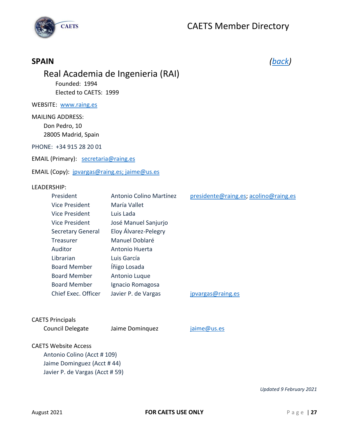

### <span id="page-27-0"></span>**SPAIN** *[\(back\)](#page-1-0)*

### Real Academia de Ingenieria (RAI)

Founded: 1994 Elected to CAETS: 1999

WEBSITE: [www.raing.es](http://www.raing.es/)

MAILING ADDRESS: Don Pedro, 10 28005 Madrid, Spain

PHONE: +34 915 28 20 01

EMAIL (Primary): [secretaria@raing.es](mailto:secretaria@raing.es)

EMAIL (Copy): [jpvargas@raing.es;](mailto:jpvargas@raing.es) jaime@us.es

#### LEADERSHIP:

| President                | Antonio Colino Martínez | presidente@raing.es; acolino@raing.es |
|--------------------------|-------------------------|---------------------------------------|
| <b>Vice President</b>    | María Vallet            |                                       |
| Vice President           | Luis Lada               |                                       |
| Vice President           | José Manuel Sanjurjo    |                                       |
| <b>Secretary General</b> | Eloy Álvarez-Pelegry    |                                       |
| Treasurer                | Manuel Doblaré          |                                       |
| Auditor                  | Antonio Huerta          |                                       |
| Librarian                | Luis García             |                                       |
| <b>Board Member</b>      | Íñigo Losada            |                                       |
| <b>Board Member</b>      | Antonio Luque           |                                       |
| <b>Board Member</b>      | Ignacio Romagosa        |                                       |
| Chief Exec. Officer      | Javier P. de Vargas     | jpvargas@raing.es                     |

#### CAETS Principals

Council Delegate Jaime Dominquez [jaime@us.es](mailto:jaime@us.es)

#### CAETS Website Access

Antonio Colino (Acct # 109) Jaime Dominguez (Acct # 44) Javier P. de Vargas (Acct # 59)

*Updated 9 February 2021*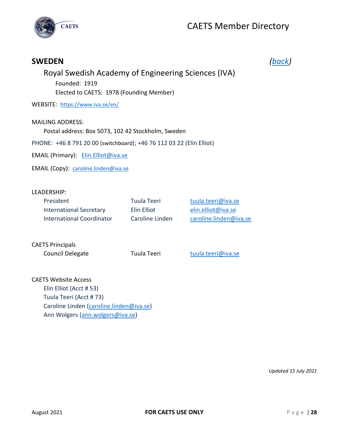

# <span id="page-28-0"></span>**SWEDEN** *[\(back\)](#page-1-0)*

### Royal Swedish Academy of Engineering Sciences (IVA)

Founded: 1919 Elected to CAETS: 1978 (Founding Member)

WEBSITE: <https://www.iva.se/en/>

### MAILING ADDRESS: Postal address: Box 5073, 102 42 Stockholm, Sweden PHONE: +46 8 791 20 00 ([switchboard](https://sv.bab.la/lexikon/engelsk-svensk/switchboard)); +46 76 112 03 22 (Elin Elliot) EMAIL (Primary): Elin.Elliot@iva.se

EMAIL (Copy): [caroline.linden@iva.se](mailto:caroline.linden@iva.se)

#### LEADERSHIP:

| President                        | Tu  |
|----------------------------------|-----|
| <b>International Secretary</b>   | Eli |
| <b>International Coordinator</b> | Ca  |

rula Teeri **President Tuula.teeri@iva.se** n Elliot elin.elliot@iva.se International Coordinator Caroline.linden@iva.se

CAETS Principals

Council Delegate Tuula Teeri [tuula.teeri@iva.se](mailto:tuula.teeri@iva.se)

CAETS Website Access Elin Elliot (Acct # 53) Tuula Teeri (Acct # 73) Caroline Linden [\(caroline.linden@iva.se\)](mailto:caroline.linden@iva.se) Ann Wolgers [\(ann.wolgers@iva.se\)](mailto:ann.wolgers@iva.se)

*Updated 15 July 2021*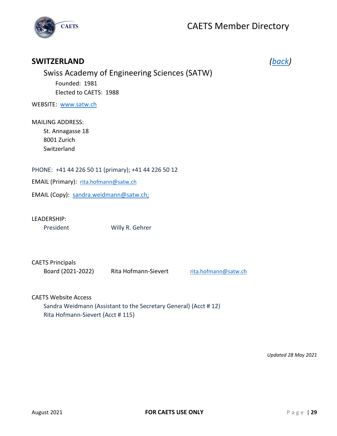

### <span id="page-29-0"></span>**SWITZERLAND** *[\(back\)](#page-1-0)*

### Swiss Academy of Engineering Sciences (SATW) Founded: 1981 Elected to CAETS: 1988

WEBSITE: [www.satw.ch](http://www.satw.ch/)

MAILING ADDRESS: St. Annagasse 18 8001 Zurich Switzerland

PHONE: +41 44 226 50 11 (primary); +41 44 226 50 12

EMAIL (Primary): [rita.hofmann@satw.ch](mailto:rita.hofmann@satw.ch)

EMAIL (Copy): [sandra.weidmann@satw.ch;](mailto:sandra.weidmann@satw.ch)

#### LEADERSHIP:

President Willy R. Gehrer

CAETS Principals

Board (2021-2022) Rita Hofmann-Sievert [rita.hofmann@satw.ch](mailto:rita.hofmann@satw.ch)

CAETS Website Access

Sandra Weidmann (Assistant to the Secretary General) (Acct # 12) Rita Hofmann-Sievert (Acct # 115)

*Updated 28 May 2021*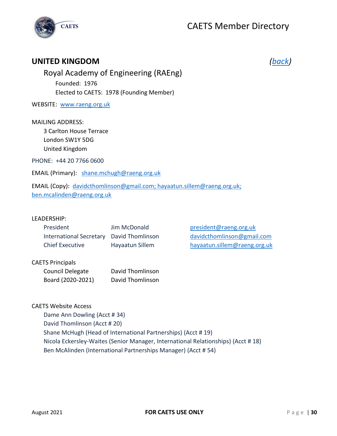

### <span id="page-30-0"></span>**UNITED KINGDOM** *[\(back\)](#page-1-0)*

Royal Academy of Engineering (RAEng) Founded: 1976 Elected to CAETS: 1978 (Founding Member)

WEBSITE: [www.raeng.org.uk](http://www.raeng.org.uk/)

MAILING ADDRESS:

3 Carlton House Terrace London SW1Y 5DG United Kingdom

PHONE: +44 20 7766 0600

EMAIL (Primary): [shane.m](mailto:shane.)chugh@raeng.org.uk

EMAIL (Copy): [davidcthomlinson@gmail.com;](mailto:davidcthomlinson@gmail.com) [hayaatun.sillem@raeng.org.uk;](mailto:hayaatun.sillem@raeng.org.uk) ben.mcalinden@raeng.org.uk

#### LEADERSHIP:

| President                                | Jim McDonald    |
|------------------------------------------|-----------------|
| International Secretary David Thomlinson |                 |
| <b>Chief Executive</b>                   | Hayaatun Sillem |

[president@raeng.org.uk](mailto:president@raeng.org.uk) david cthomlinson@gmail.com [hayaatun.sillem@raeng.org.uk](mailto:hayaatun.sillem@raeng.org.uk)

#### CAETS Principals

| Council Delegate  | David Thomlinson |
|-------------------|------------------|
| Board (2020-2021) | David Thomlinson |

CAETS Website Access

Dame Ann Dowling (Acct # 34) David Thomlinson (Acct # 20) Shane McHugh (Head of International Partnerships) (Acct # 19) Nicola Eckersley-Waites (Senior Manager, International Relationships) (Acct # 18) Ben McAlinden (International Partnerships Manager) (Acct # 54)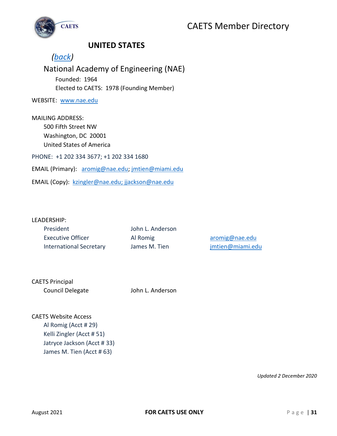

### <span id="page-31-0"></span>**UNITED STATES**

### *[\(back\)](#page-1-0)*

### National Academy of Engineering (NAE) Founded: 1964 Elected to CAETS: 1978 (Founding Member)

WEBSITE: [www.nae.edu](http://www.nae.edu/)

MAILING ADDRESS: 500 Fifth Street NW Washington, DC 20001 United States of America PHONE: +1 202 334 3677; +1 202 334 1680 EMAIL (Primary): [aromig@nae.edu;](mailto:aromig@nae.edu) [jmtien@miami.edu](mailto:jmtien@miami.edu)

EMAIL (Copy): [kzingler@nae.edu;](mailto:kzingler@nae.edu) [jjackson@nae.edu](mailto:jjackson@nae.edu)

#### LEADERSHIP:

| President                      |
|--------------------------------|
| Executive Officer              |
| <b>International Secretary</b> |

John L. Anderson

Al Romig [aromig@nae.edu](mailto:aromig@nae.edu) James M. Tien [jmtien@miami.edu](mailto:jmtien@miami.edu)

CAETS Principal Council Delegate John L. Anderson

CAETS Website Access Al Romig (Acct # 29) Kelli Zingler (Acct # 51) Jatryce Jackson (Acct # 33) James M. Tien (Acct # 63)

*Updated 2 December 2020*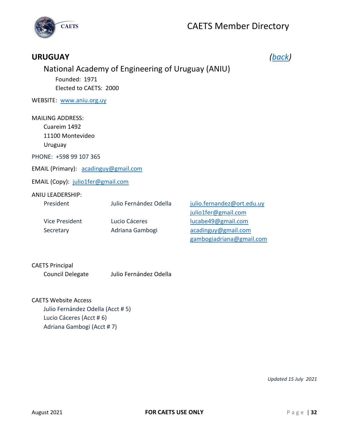

### <span id="page-32-0"></span>**URUGUAY** *[\(back\)](#page-1-0)*

### National Academy of Engineering of Uruguay (ANIU)

Founded: 1971 Elected to CAETS: 2000

WEBSITE: [www.aniu.org.uy](http://www.aniu.org.uy/)

MAILING ADDRESS:

Cuareim 1492

11100 Montevideo

Uruguay

PHONE: +598 99 107 365

EMAIL (Primary): [acadinguy@gmail.com](mailto:acadinguy@gmail.com)

EMAIL (Copy): [julio1fer@gmail.com](mailto:julio1fer@gmail.com)

#### ANIU LEADERSHIP:

| President             | Julio Fernández Odella | julio.fe |
|-----------------------|------------------------|----------|
|                       |                        | julio1fe |
| <b>Vice President</b> | Lucio Cáceres          | lucabe4  |
| Secretary             | Adriana Gambogi        | acading  |
|                       |                        |          |

rnandez@ort.edu.uy er@gmail.com 49@gmail.com guy@gmail.com gambogiadriana@gmail.com

### CAETS Principal Council Delegate Julio Fernández Odella

CAETS Website Access

Julio Fernández Odella (Acct # 5) Lucio Cáceres (Acct # 6) Adriana Gambogi (Acct # 7)

*Updated 15 July 2021*